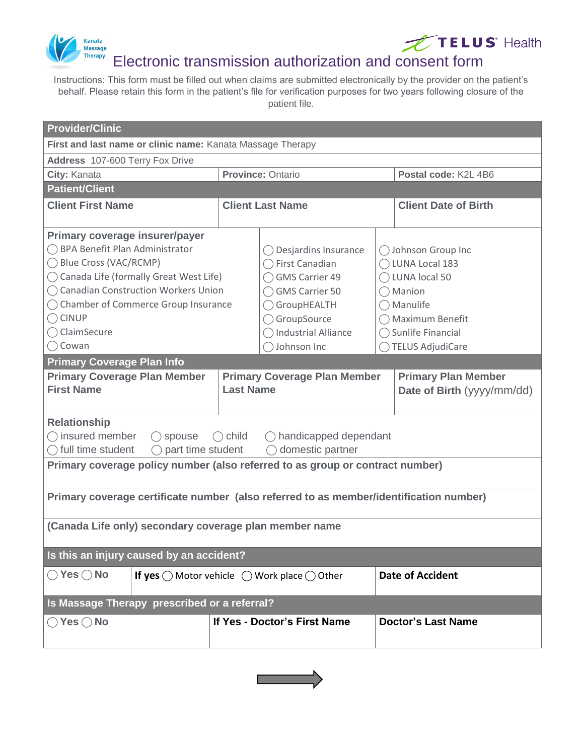



# Electronic transmission authorization and consent form

Instructions: This form must be filled out when claims are submitted electronically by the provider on the patient's behalf. Please retain this form in the patient's file for verification purposes for two years following closure of the patient file.

| <b>Provider/Clinic</b>                                                                                                                                                                                                                                                                     |                                                         |                                                                                                                                                                          |  |                                                                                                                                                                        |  |  |  |  |
|--------------------------------------------------------------------------------------------------------------------------------------------------------------------------------------------------------------------------------------------------------------------------------------------|---------------------------------------------------------|--------------------------------------------------------------------------------------------------------------------------------------------------------------------------|--|------------------------------------------------------------------------------------------------------------------------------------------------------------------------|--|--|--|--|
| First and last name or clinic name: Kanata Massage Therapy                                                                                                                                                                                                                                 |                                                         |                                                                                                                                                                          |  |                                                                                                                                                                        |  |  |  |  |
| Address 107-600 Terry Fox Drive                                                                                                                                                                                                                                                            |                                                         |                                                                                                                                                                          |  |                                                                                                                                                                        |  |  |  |  |
| City: Kanata                                                                                                                                                                                                                                                                               | Province: Ontario                                       |                                                                                                                                                                          |  | Postal code: K2L 4B6                                                                                                                                                   |  |  |  |  |
| <b>Patient/Client</b>                                                                                                                                                                                                                                                                      |                                                         |                                                                                                                                                                          |  |                                                                                                                                                                        |  |  |  |  |
| <b>Client First Name</b>                                                                                                                                                                                                                                                                   | <b>Client Last Name</b>                                 |                                                                                                                                                                          |  | <b>Client Date of Birth</b>                                                                                                                                            |  |  |  |  |
| Primary coverage insurer/payer<br>◯ BPA Benefit Plan Administrator<br>◯ Blue Cross (VAC/RCMP)<br>◯ Canada Life (formally Great West Life)<br>◯ Canadian Construction Workers Union<br>◯ Chamber of Commerce Group Insurance<br>$\bigcap$ CINUP<br>$\bigcap$ ClaimSecure<br>$\bigcap$ Cowan |                                                         | Desjardins Insurance<br>$\bigcap$ First Canadian<br>GMS Carrier 49<br><b>GMS Carrier 50</b><br>◯ GroupHEALTH<br>GroupSource<br><b>Industrial Alliance</b><br>Johnson Inc |  | ◯ Johnson Group Inc<br>◯ LUNA Local 183<br>◯ LUNA local 50<br>$\bigcap$ Manion<br>$\bigcap$ Manulife<br>◯ Maximum Benefit<br>◯ Sunlife Financial<br>◯ TELUS AdjudiCare |  |  |  |  |
| <b>Primary Coverage Plan Info</b>                                                                                                                                                                                                                                                          |                                                         |                                                                                                                                                                          |  |                                                                                                                                                                        |  |  |  |  |
| <b>Primary Coverage Plan Member</b><br><b>First Name</b>                                                                                                                                                                                                                                   | <b>Primary Coverage Plan Member</b><br><b>Last Name</b> |                                                                                                                                                                          |  | <b>Primary Plan Member</b><br>Date of Birth (yyyy/mm/dd)                                                                                                               |  |  |  |  |
| <b>Relationship</b><br>$\bigcap$ insured member<br>$\bigcirc$ child<br>$\bigcirc$ handicapped dependant<br>$\bigcirc$ spouse<br>part time student<br>full time student<br>domestic partner<br>Primary coverage policy number (also referred to as group or contract number)                |                                                         |                                                                                                                                                                          |  |                                                                                                                                                                        |  |  |  |  |
| Primary coverage certificate number (also referred to as member/identification number)                                                                                                                                                                                                     |                                                         |                                                                                                                                                                          |  |                                                                                                                                                                        |  |  |  |  |
| (Canada Life only) secondary coverage plan member name                                                                                                                                                                                                                                     |                                                         |                                                                                                                                                                          |  |                                                                                                                                                                        |  |  |  |  |
| Is this an injury caused by an accident?                                                                                                                                                                                                                                                   |                                                         |                                                                                                                                                                          |  |                                                                                                                                                                        |  |  |  |  |
| $\bigcirc$ Yes $\bigcirc$ No<br>If yes $\bigcirc$ Motor vehicle $\bigcirc$ Work place $\bigcirc$ Other                                                                                                                                                                                     |                                                         |                                                                                                                                                                          |  | <b>Date of Accident</b>                                                                                                                                                |  |  |  |  |
| Is Massage Therapy prescribed or a referral?                                                                                                                                                                                                                                               |                                                         |                                                                                                                                                                          |  |                                                                                                                                                                        |  |  |  |  |
| $\bigcirc$ Yes $\bigcirc$ No                                                                                                                                                                                                                                                               |                                                         | If Yes - Doctor's First Name                                                                                                                                             |  | <b>Doctor's Last Name</b>                                                                                                                                              |  |  |  |  |

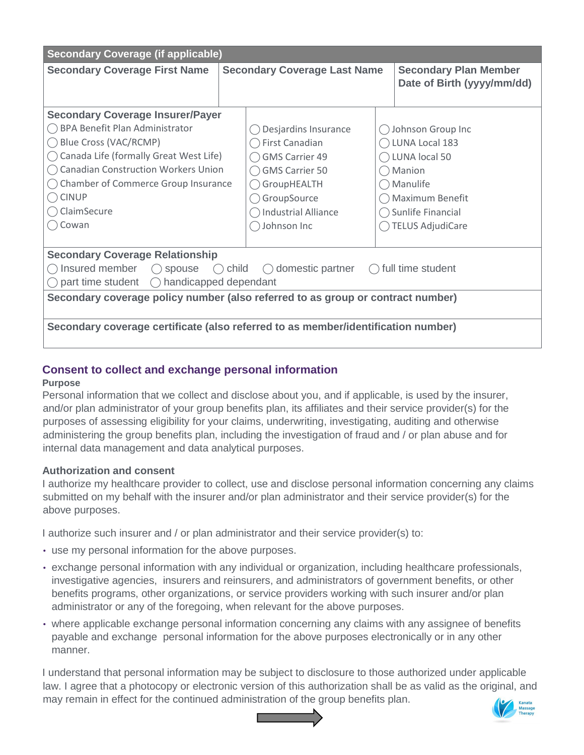| <b>Secondary Coverage (if applicable)</b>                                                                |                                     |                            |  |                                                            |  |  |  |  |
|----------------------------------------------------------------------------------------------------------|-------------------------------------|----------------------------|--|------------------------------------------------------------|--|--|--|--|
| <b>Secondary Coverage First Name</b>                                                                     | <b>Secondary Coverage Last Name</b> |                            |  | <b>Secondary Plan Member</b><br>Date of Birth (yyyy/mm/dd) |  |  |  |  |
| <b>Secondary Coverage Insurer/Payer</b>                                                                  |                                     |                            |  |                                                            |  |  |  |  |
| BPA Benefit Plan Administrator                                                                           |                                     | Desjardins Insurance       |  | Johnson Group Inc                                          |  |  |  |  |
| Blue Cross (VAC/RCMP)                                                                                    |                                     | First Canadian             |  | LUNA Local 183                                             |  |  |  |  |
| Canada Life (formally Great West Life)                                                                   |                                     | <b>GMS Carrier 49</b>      |  | LUNA local 50                                              |  |  |  |  |
| <b>Canadian Construction Workers Union</b>                                                               |                                     | <b>GMS Carrier 50</b>      |  | () Manion                                                  |  |  |  |  |
| Chamber of Commerce Group Insurance                                                                      |                                     | GroupHEALTH                |  | $\bigcap$ Manulife                                         |  |  |  |  |
| <b>CINUP</b>                                                                                             |                                     | GroupSource                |  | Maximum Benefit                                            |  |  |  |  |
| ClaimSecure                                                                                              |                                     | <b>Industrial Alliance</b> |  | ◯ Sunlife Financial                                        |  |  |  |  |
| Cowan                                                                                                    |                                     | Johnson Inc                |  | <b>TELUS AdjudiCare</b>                                    |  |  |  |  |
|                                                                                                          |                                     |                            |  |                                                            |  |  |  |  |
| <b>Secondary Coverage Relationship</b>                                                                   |                                     |                            |  |                                                            |  |  |  |  |
| Insured member<br>child $\bigcap$<br>domestic partner $\bigcirc$<br>full time student<br>◯ spouse<br>( ) |                                     |                            |  |                                                            |  |  |  |  |
| part time student $\bigcirc$ handicapped dependant                                                       |                                     |                            |  |                                                            |  |  |  |  |
| Secondary coverage policy number (also referred to as group or contract number)                          |                                     |                            |  |                                                            |  |  |  |  |
| Secondary coverage certificate (also referred to as member/identification number)                        |                                     |                            |  |                                                            |  |  |  |  |

# **Consent to collect and exchange personal information**

#### **Purpose**

Personal information that we collect and disclose about you, and if applicable, is used by the insurer, and/or plan administrator of your group benefits plan, its affiliates and their service provider(s) for the purposes of assessing eligibility for your claims, underwriting, investigating, auditing and otherwise administering the group benefits plan, including the investigation of fraud and / or plan abuse and for internal data management and data analytical purposes.

## **Authorization and consent**

I authorize my healthcare provider to collect, use and disclose personal information concerning any claims submitted on my behalf with the insurer and/or plan administrator and their service provider(s) for the above purposes.

I authorize such insurer and / or plan administrator and their service provider(s) to:

- use my personal information for the above purposes.
- exchange personal information with any individual or organization, including healthcare professionals, investigative agencies, insurers and reinsurers, and administrators of government benefits, or other benefits programs, other organizations, or service providers working with such insurer and/or plan administrator or any of the foregoing, when relevant for the above purposes.
- where applicable exchange personal information concerning any claims with any assignee of benefits payable and exchange personal information for the above purposes electronically or in any other manner.

I understand that personal information may be subject to disclosure to those authorized under applicable law. I agree that a photocopy or electronic version of this authorization shall be as valid as the original, and may remain in effect for the continued administration of the group benefits plan.